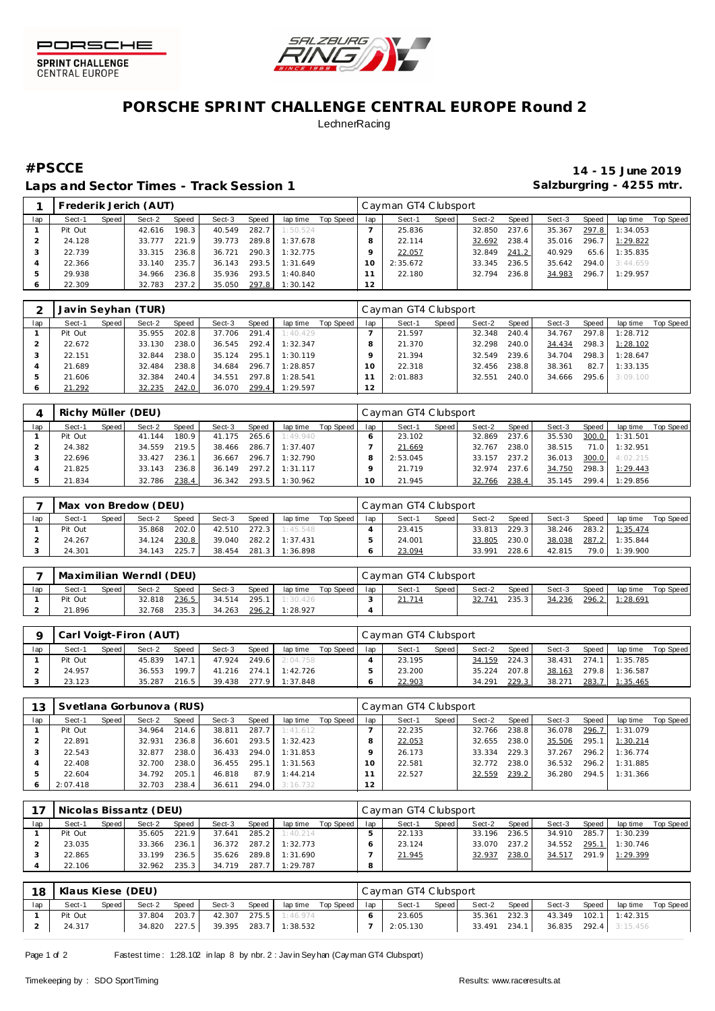



### **PORSCHE SPRINT CHALLENGE CENTRAL EUROPE Round 2 LechnerRacing**

Laps and Sector Times - Track Session 1 **Salzburgring - 4255 mtr.** And Salzburgring - 4255 mtr.

**#PSCCE 14 - 15 June 2019**

|     |         |       | Frederik Jerich (AUT) |       |        |       |          |           |           | Cayman GT4 Clubsport |       |        |       |        |       |                |           |
|-----|---------|-------|-----------------------|-------|--------|-------|----------|-----------|-----------|----------------------|-------|--------|-------|--------|-------|----------------|-----------|
| lap | Sect-1  | Speed | Sect-2                | Speed | Sect-3 | Speed | lap time | Top Speed | lap       | Sect-1               | Speed | Sect-2 | Speed | Sect-3 | Speed | lap time       | Top Speed |
|     | Pit Out |       | 42.616                | 198.3 | 40.549 | 282.7 | 1:50.524 |           |           | 25.836               |       | 32.850 | 237.6 | 35.367 | 297.8 | 1:34.053       |           |
|     | 24.128  |       | 33 777                | 221.9 | 39.773 | 289.8 | 1:37.678 |           |           | 22.114               |       | 32.692 | 238.4 | 35.016 | 296.7 | 1:29.822       |           |
|     | 22.739  |       | 33.315                | 236.8 | 36.721 | 290.3 | 1:32.775 |           |           | 22.057               |       | 32.849 | 241.2 | 40.929 | 65.6  | 1:35.835       |           |
|     | 22.366  |       | 33.140                | 235.7 | 36.143 | 293.5 | 1:31.649 |           | $10^{-1}$ | 2:35.672             |       | 33.345 | 236.5 | 35.642 |       | 294.0 3:44.659 |           |
|     | 29.938  |       | 34.966                | 236.8 | 35.936 | 293.5 | 1:40.840 |           |           | 22.180               |       | 32.794 | 236.8 | 34.983 | 296.7 | 1:29.957       |           |
|     | 22.309  |       | 32.783                | 237.2 | 35.050 | 297.8 | 1:30.142 |           | 12        |                      |       |        |       |        |       |                |           |

|     |         |       | Javin Seyhan (TUR) |       |        |       |          |           |     | Cayman GT4 Clubsport |       |        |       |        |       |          |           |
|-----|---------|-------|--------------------|-------|--------|-------|----------|-----------|-----|----------------------|-------|--------|-------|--------|-------|----------|-----------|
| lap | Sect-1  | Speed | Sect-2             | Speed | Sect-3 | Speed | lap time | Top Speed | lap | Sect-1               | Speed | Sect-2 | Speed | Sect-3 | Speed | lap time | Top Speed |
|     | Pit Out |       | 35.955             | 202.8 | 37.706 | 291.4 | 1:40.429 |           |     | 21.597               |       | 32.348 | 240.4 | 34.767 | 297.8 | 1:28.712 |           |
|     | 22.672  |       | 33.130             | 238.0 | 36.545 | 292.4 | 1:32.347 |           |     | 21.370               |       | 32.298 | 240.0 | 34.434 | 298.3 | 1:28.102 |           |
|     | 22.151  |       | 32.844             | 238.0 | 35.124 | 295.1 | 1:30.119 |           |     | 21.394               |       | 32.549 | 239.6 | 34.704 | 298.3 | 1:28.647 |           |
|     | 21.689  |       | 32.484             | 238.8 | 34.684 | 296.7 | 1:28.857 |           | 10  | 22.318               |       | 32.456 | 238.8 | 38.361 | 82.7  | 1:33.135 |           |
|     | 21.606  |       | 32.384             | 240.4 | 34.551 | 297.8 | 1:28.541 |           |     | 2:01.883             |       | 32.551 | 240.0 | 34.666 | 295.6 | 3:09.100 |           |
|     | 21.292  |       | 32.235             | 242.0 | 36.070 | 299.4 | 1:29.597 |           | 12  |                      |       |        |       |        |       |          |           |

|     | Richy Müller (DEU) |       |        |       |        |       |          |           |     | Cayman GT4 Clubsport |         |        |        |        |       |          |           |
|-----|--------------------|-------|--------|-------|--------|-------|----------|-----------|-----|----------------------|---------|--------|--------|--------|-------|----------|-----------|
| lap | Sect-1             | Speed | Sect-2 | Speed | Sect-3 | Speed | lap time | Top Speed | lap | Sect-1               | Speed ! | Sect-2 | Speed, | Sect-3 | Speed | lap time | Top Speed |
|     | Pit Out            |       | 41.144 | 180.9 | 41.175 | 265.6 | 1:49.940 |           |     | 23.102               |         | 32.869 | 237.6  | 35.530 | 300.0 | 1:31.501 |           |
|     | 24.382             |       | 34.559 | 219.5 | 38.466 | 286.7 | 1:37.407 |           |     | 21.669               |         | 32.767 | 238.0  | 38.515 | 71.0  | 1:32.951 |           |
|     | 22.696             |       | 33.427 | 236.1 | 36.667 | 296.7 | 1:32.790 |           |     | 2:53.045             |         | 33.157 | 237.2  | 36.013 | 300.0 | 4:02.215 |           |
|     | 21.825             |       | 33.143 | 236.8 | 36.149 | 297.2 | 1:31.117 |           |     | 21.719               |         | 32.974 | 237.6  | 34.750 | 298.3 | 1:29.443 |           |
|     | 21.834             |       | 32.786 | 238.4 | 36.342 | 293.5 | 1:30.962 |           |     | 21.945               |         | 32.766 | 238.4  | 35.145 | 299.4 | 1:29.856 |           |

|     |         |              | Max von Bredow (DEU) |       |        |       |                |           |     | Cayman GT4 Clubsport |       |        |         |        |       |                |           |
|-----|---------|--------------|----------------------|-------|--------|-------|----------------|-----------|-----|----------------------|-------|--------|---------|--------|-------|----------------|-----------|
| lap | Sect-1  | <b>Speed</b> | Sect-2               | Speed | Sect-3 | Speed | lap time       | Top Speed | lap | Sect-1               | Speed | Sect-2 | Speed I | Sect-3 | Speed | lap time       | Top Speed |
|     | Pit Out |              | 35.868               | 202.0 | 42.510 | 272.3 | 1:45.548       |           |     | 23.415               |       | 33.813 | 229.3   | 38.246 |       | 283.2 1:35.474 |           |
|     | 24.267  |              | 34.124               | 230.8 | 39.040 |       | 282.2 1:37.431 |           |     | 24.001               |       | 33.805 | 230.0   | 38.038 | 287.2 | 1:35.844       |           |
|     | 24.301  |              | 34.143               | 225.7 | 38.454 | 281.3 | 1:36.898       |           |     | 23.094               |       | 33.991 | 228.6   | 42.815 | 79.0  | 1:39.900       |           |

|     |         |       | Maximilian Werndl (DEU) |       |        |         |          |           |     | Cayman GT4 Clubsport |         |        |       |        |       |          |           |
|-----|---------|-------|-------------------------|-------|--------|---------|----------|-----------|-----|----------------------|---------|--------|-------|--------|-------|----------|-----------|
| lap | Sect-1  | Speed | Sect-2                  | Speed | Sect-3 | Speed I | lap time | Top Speed | lap | Sect-1               | Speed I | Sect-2 | Speed | Sect-3 | Speed | lap time | Top Speed |
|     | Pit Out |       | 32.818                  | 236.5 | 34.514 | 295.1   | 1:30.426 |           |     | $\angle 1.714$       |         | 32.741 | 235.3 | 34.236 | 296.2 | 1:28.691 |           |
|     | 21.896  |       | 32.768                  | 235.3 | 34.263 | 296.2   | 1:28.927 |           |     |                      |         |        |       |        |       |          |           |

|     |         |         | Carl Voigt-Firon (AUT) |       |                  |       |          |             |     | Cayman GT4 Clubsport |       |        |       |        |       |          |           |
|-----|---------|---------|------------------------|-------|------------------|-------|----------|-------------|-----|----------------------|-------|--------|-------|--------|-------|----------|-----------|
| lap | Sect-′  | Speed i | Sect-2                 | Speed | Sect-3           | Speed | lap time | Top Speed I | lap | Sect-1               | Speed | Sect-2 | Speed | Sect-3 | Speed | lap time | Top Speed |
|     | Pit Out |         | 45.839                 | 147.1 | 47.924           | 249.6 | 2:04.758 |             |     | 23.195               |       | 34.159 | 224.3 | 38.431 | 274.1 | 1:35.785 |           |
|     | 24.957  |         | 36.553                 | 199.7 | $41.216$ $274.1$ |       | 1:42.726 |             |     | 23.200               |       | 35.224 | 207.8 | 38.163 | 279.8 | 1:36.587 |           |
|     | 23.123  |         | 35.287                 | 216.5 | 39.438           | 277.9 | 1:37.848 |             |     | 22.903               |       | 34.291 | 229.3 | 38.271 | 283.7 | 1:35.465 |           |

| 13  |          |       | Svetlana Gorbunova (RUS) |       |        |       |          |           |     | Cayman GT4 Clubsport |       |        |       |        |       |          |           |
|-----|----------|-------|--------------------------|-------|--------|-------|----------|-----------|-----|----------------------|-------|--------|-------|--------|-------|----------|-----------|
| lap | Sect-1   | Speed | Sect-2                   | Speed | Sect-3 | Speed | lap time | Top Speed | lap | Sect-1               | Speed | Sect-2 | Speed | Sect-3 | Speed | lap time | Top Speed |
|     | Pit Out  |       | 34.964                   | 214.6 | 38.811 | 287.7 | 1:41.612 |           |     | 22.235               |       | 32.766 | 238.8 | 36.078 | 296.7 | 1:31.079 |           |
|     | 22.891   |       | 32.931                   | 236.8 | 36.601 | 293.5 | 1:32.423 |           |     | 22.053               |       | 32.655 | 238.0 | 35.506 | 295.1 | 1:30.214 |           |
|     | 22.543   |       | 32877                    | 238.0 | 36.433 | 294.0 | 1:31.853 |           |     | 26.173               |       | 33.334 | 229.3 | 37.267 | 296.2 | 1:36.774 |           |
|     | 22.408   |       | 32.700                   | 238.0 | 36.455 | 295.1 | 1:31.563 |           | 10  | 22.581               |       | 32.772 | 238.0 | 36.532 | 296.2 | 1:31.885 |           |
|     | 22.604   |       | 34.792                   | 205.1 | 46.818 | 87.9  | 1:44.214 |           |     | 22.527               |       | 32.559 | 239.2 | 36.280 | 294.5 | 1:31.366 |           |
|     | 2:07.418 |       | 32.703                   | 238.4 | 36.611 | 294.0 | 3:16.732 |           | 12  |                      |       |        |       |        |       |          |           |

|     |         |       | Nicolas Bissantz (DEU) |       |        |       |          |             |     | Cayman GT4 Clubsport |       |        |       |        |       |          |           |
|-----|---------|-------|------------------------|-------|--------|-------|----------|-------------|-----|----------------------|-------|--------|-------|--------|-------|----------|-----------|
| lap | Sect-1  | Speed | Sect-2                 | Speed | Sect-3 | Speed | lap time | Top Speed I | lap | Sect-1               | Speed | Sect-2 | Speed | Sect-3 | Speed | lap time | Top Speed |
|     | Pit Out |       | 35.605                 | 221.9 | 37.641 | 285.2 | 1:40.214 |             |     | 22.133               |       | 33.196 | 236.5 | 34.910 | 285.7 | 1:30.239 |           |
|     | 23.035  |       | 33.366                 | 236.1 | 36.372 | 287.2 | 1:32.773 |             |     | 23.124               |       | 33.070 | 237.2 | 34.552 | 295.1 | 1:30.746 |           |
|     | 22.865  |       | 33.199                 | 236.5 | 35.626 | 289.8 | 1:31.690 |             |     | 21.945               |       | 32.937 | 238.0 | 34.517 | 291.9 | 1:29.399 |           |
|     | 22.106  |       | 32.962                 | 235.3 | 34.719 | 287.7 | 1:29.787 |             | 8   |                      |       |        |       |        |       |          |           |

| 18  | Klaus Kiese (DEU) |       |        |       |        |       |                       |                    |     | Cayman GT4 Clubsport |       |        |       |        |       |                              |             |
|-----|-------------------|-------|--------|-------|--------|-------|-----------------------|--------------------|-----|----------------------|-------|--------|-------|--------|-------|------------------------------|-------------|
| lap | Sect-1            | Speed | Sect-2 | Speed | Sect-3 | Speed |                       | lap time Top Speed | lap | Sect-1               | Speed | Sect-2 | Speed | Sect-3 | Speed | lap time                     | Top Speed I |
|     | Pit Out           |       | 37.804 | 203.7 | 42.307 | 275.5 | 1:46.974              |                    |     | 23.605               |       | 35.361 | 232.3 | 43.349 |       | $102.1$ 1:42.315             |             |
|     | 24.317            |       | 34.820 | 227.5 |        |       | 39.395 283.7 1:38.532 |                    |     | 2:05.130             |       | 33.491 | 234.1 |        |       | <b>36.835 292.4</b> 3:15.456 |             |